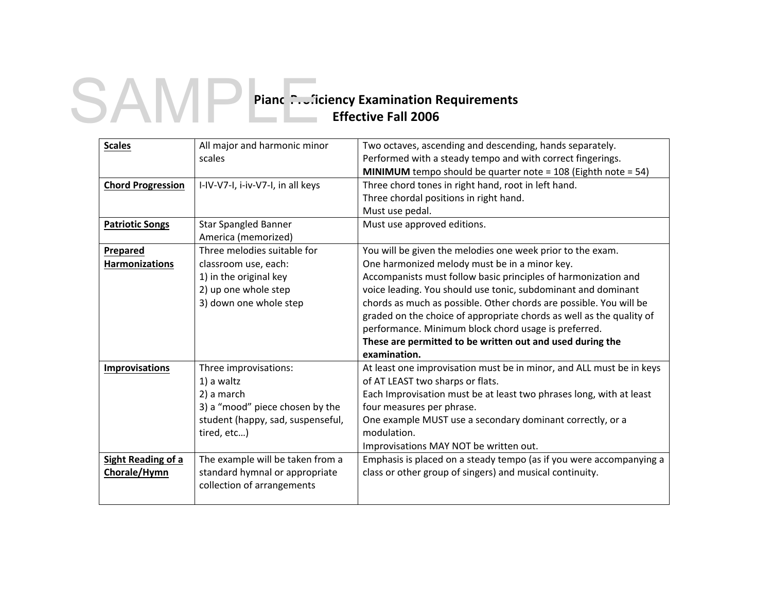### **Pianc**  $\cap$  **Jiciency Examination Requirements Effective Fall 2006**

| <b>Scales</b>             | All major and harmonic minor      | Two octaves, ascending and descending, hands separately.                  |  |  |  |
|---------------------------|-----------------------------------|---------------------------------------------------------------------------|--|--|--|
|                           | scales                            | Performed with a steady tempo and with correct fingerings.                |  |  |  |
|                           |                                   | <b>MINIMUM</b> tempo should be quarter note = $108$ (Eighth note = $54$ ) |  |  |  |
| <b>Chord Progression</b>  | I-IV-V7-I, i-iv-V7-I, in all keys | Three chord tones in right hand, root in left hand.                       |  |  |  |
|                           |                                   | Three chordal positions in right hand.                                    |  |  |  |
|                           |                                   | Must use pedal.                                                           |  |  |  |
| <b>Patriotic Songs</b>    | <b>Star Spangled Banner</b>       | Must use approved editions.                                               |  |  |  |
|                           | America (memorized)               |                                                                           |  |  |  |
| Prepared                  | Three melodies suitable for       | You will be given the melodies one week prior to the exam.                |  |  |  |
| <b>Harmonizations</b>     | classroom use, each:              | One harmonized melody must be in a minor key.                             |  |  |  |
|                           | 1) in the original key            | Accompanists must follow basic principles of harmonization and            |  |  |  |
|                           | 2) up one whole step              | voice leading. You should use tonic, subdominant and dominant             |  |  |  |
|                           | 3) down one whole step            | chords as much as possible. Other chords are possible. You will be        |  |  |  |
|                           |                                   | graded on the choice of appropriate chords as well as the quality of      |  |  |  |
|                           |                                   | performance. Minimum block chord usage is preferred.                      |  |  |  |
|                           |                                   | These are permitted to be written out and used during the                 |  |  |  |
|                           |                                   | examination.                                                              |  |  |  |
| <b>Improvisations</b>     | Three improvisations:             | At least one improvisation must be in minor, and ALL must be in keys      |  |  |  |
|                           | 1) a waltz                        | of AT LEAST two sharps or flats.                                          |  |  |  |
|                           | 2) a march                        | Each Improvisation must be at least two phrases long, with at least       |  |  |  |
|                           | 3) a "mood" piece chosen by the   | four measures per phrase.                                                 |  |  |  |
|                           | student (happy, sad, suspenseful, | One example MUST use a secondary dominant correctly, or a                 |  |  |  |
|                           | tired, etc)                       | modulation.                                                               |  |  |  |
|                           |                                   | Improvisations MAY NOT be written out.                                    |  |  |  |
| <b>Sight Reading of a</b> | The example will be taken from a  | Emphasis is placed on a steady tempo (as if you were accompanying a       |  |  |  |
| Chorale/Hymn              | standard hymnal or appropriate    | class or other group of singers) and musical continuity.                  |  |  |  |
|                           | collection of arrangements        |                                                                           |  |  |  |
|                           |                                   |                                                                           |  |  |  |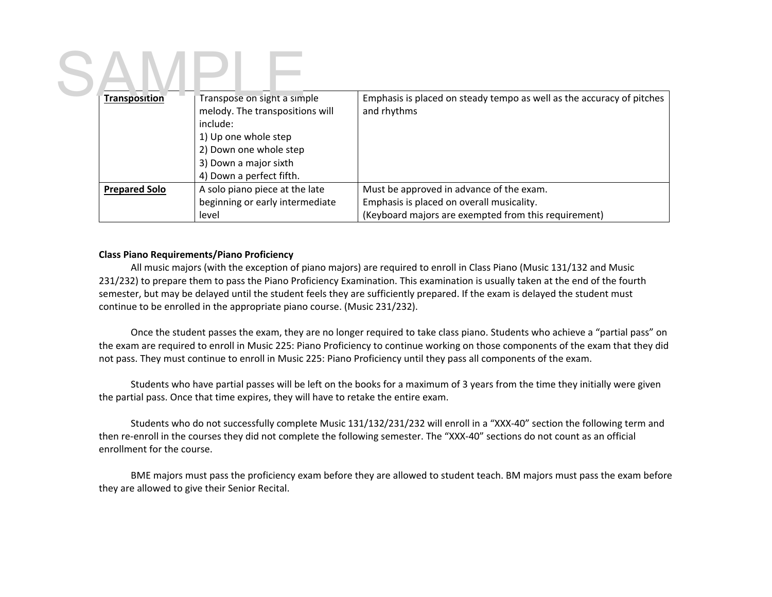| <b>Transposition</b>     | Transpose on sight a simple                    | Emphasis is placed on steady tempo as well as the accuracy of pitches |  |  |
|--------------------------|------------------------------------------------|-----------------------------------------------------------------------|--|--|
|                          | melody. The transpositions will                | and rhythms                                                           |  |  |
|                          | include:                                       |                                                                       |  |  |
|                          | 1) Up one whole step<br>2) Down one whole step |                                                                       |  |  |
|                          |                                                |                                                                       |  |  |
|                          | 3) Down a major sixth                          |                                                                       |  |  |
| 4) Down a perfect fifth. |                                                |                                                                       |  |  |
| <b>Prepared Solo</b>     | A solo piano piece at the late                 | Must be approved in advance of the exam.                              |  |  |
|                          | beginning or early intermediate                | Emphasis is placed on overall musicality.                             |  |  |
|                          | level                                          | (Keyboard majors are exempted from this requirement)                  |  |  |

#### **Class Piano Requirements/Piano Proficiency**

All music majors (with the exception of piano majors) are required to enroll in Class Piano (Music 131/132 and Music 231/232) to prepare them to pass the Piano Proficiency Examination. This examination is usually taken at the end of the fourth semester, but may be delayed until the student feels they are sufficiently prepared. If the exam is delayed the student must continue to be enrolled in the appropriate piano course. (Music 231/232).

Once the student passes the exam, they are no longer required to take class piano. Students who achieve a "partial pass" on the exam are required to enroll in Music 225: Piano Proficiency to continue working on those components of the exam that they did not pass. They must continue to enroll in Music 225: Piano Proficiency until they pass all components of the exam.

Students who have partial passes will be left on the books for a maximum of 3 years from the time they initially were given the partial pass. Once that time expires, they will have to retake the entire exam.

Students who do not successfully complete Music 131/132/231/232 will enroll in a "XXX-40" section the following term and then re-enroll in the courses they did not complete the following semester. The "XXX-40" sections do not count as an official enrollment for the course.

BME majors must pass the proficiency exam before they are allowed to student teach. BM majors must pass the exam before they are allowed to give their Senior Recital.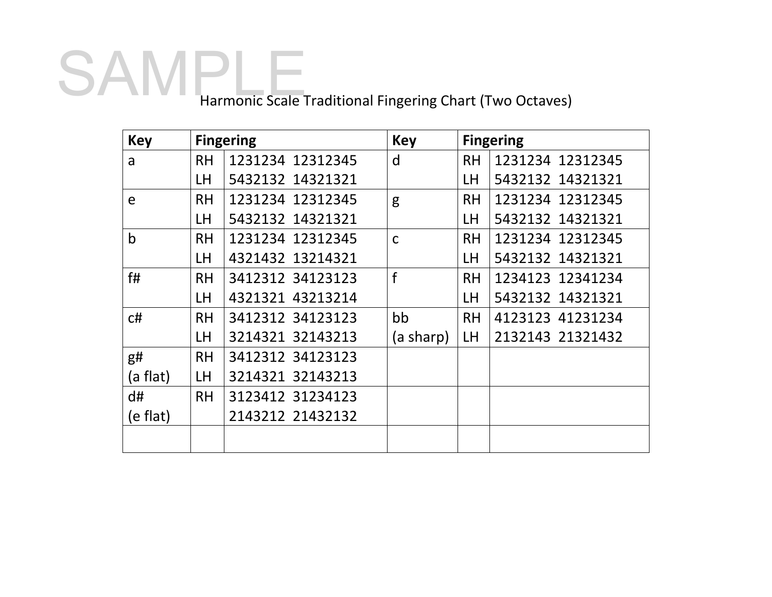### Harmonic Scale Traditional Fingering Chart (Two Octaves) SAMPLE

| <b>Key</b>  |           | <b>Fingering</b> | <b>Key</b>   | <b>Fingering</b> |                  |  |
|-------------|-----------|------------------|--------------|------------------|------------------|--|
| a           | <b>RH</b> | 1231234 12312345 | d            | <b>RH</b>        | 1231234 12312345 |  |
|             | <b>LH</b> | 5432132 14321321 |              | <b>LH</b>        | 5432132 14321321 |  |
| e           | <b>RH</b> | 1231234 12312345 | g            | <b>RH</b>        | 1231234 12312345 |  |
|             | LH        | 5432132 14321321 |              | LH               | 5432132 14321321 |  |
| $\mathsf b$ | <b>RH</b> | 1231234 12312345 | $\mathsf{C}$ | <b>RH</b>        | 1231234 12312345 |  |
|             | <b>LH</b> | 4321432 13214321 |              | <b>LH</b>        | 5432132 14321321 |  |
| f#          | <b>RH</b> | 3412312 34123123 | f            | <b>RH</b>        | 1234123 12341234 |  |
|             | LH        | 4321321 43213214 |              | LH               | 5432132 14321321 |  |
| c#          | <b>RH</b> | 3412312 34123123 | bb           | <b>RH</b>        | 4123123 41231234 |  |
|             | LH        | 3214321 32143213 | (a sharp)    | <b>LH</b>        | 2132143 21321432 |  |
| g#          | <b>RH</b> | 3412312 34123123 |              |                  |                  |  |
| (a flat)    | <b>LH</b> | 3214321 32143213 |              |                  |                  |  |
| d#          | <b>RH</b> | 3123412 31234123 |              |                  |                  |  |
| (e flat)    |           | 2143212 21432132 |              |                  |                  |  |
|             |           |                  |              |                  |                  |  |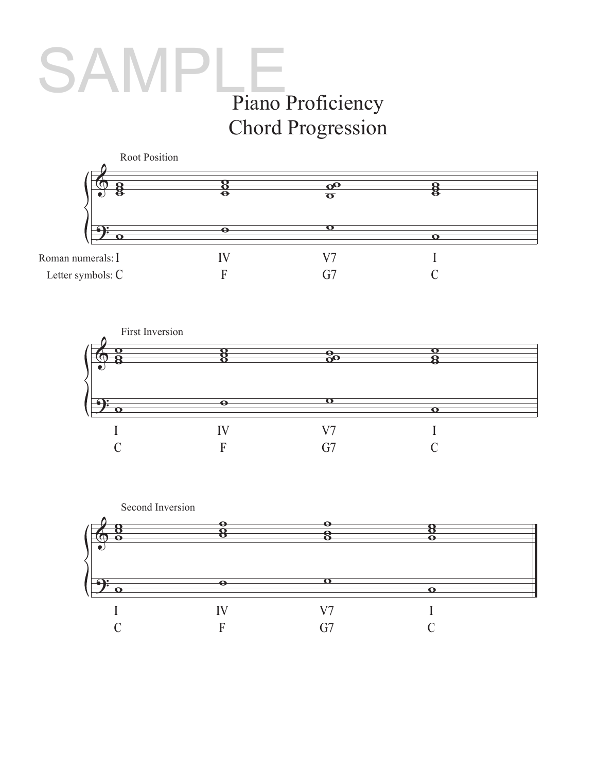





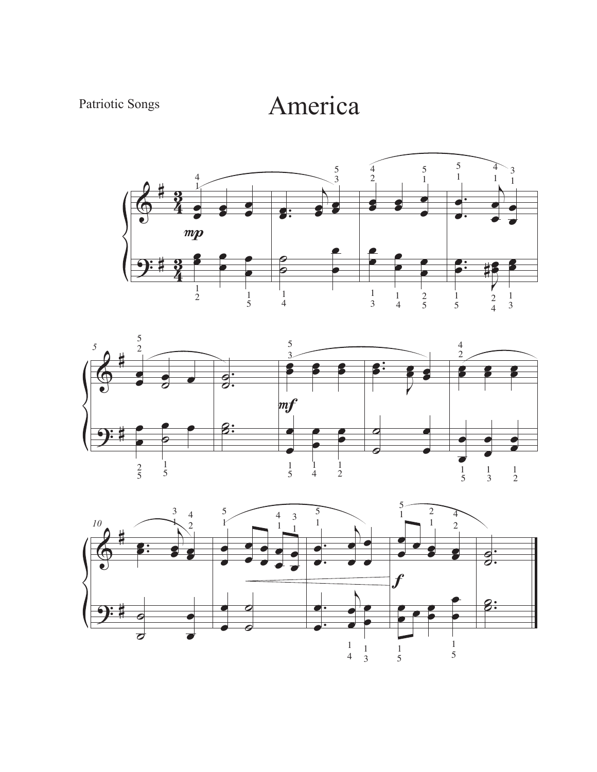Patriotic Songs America





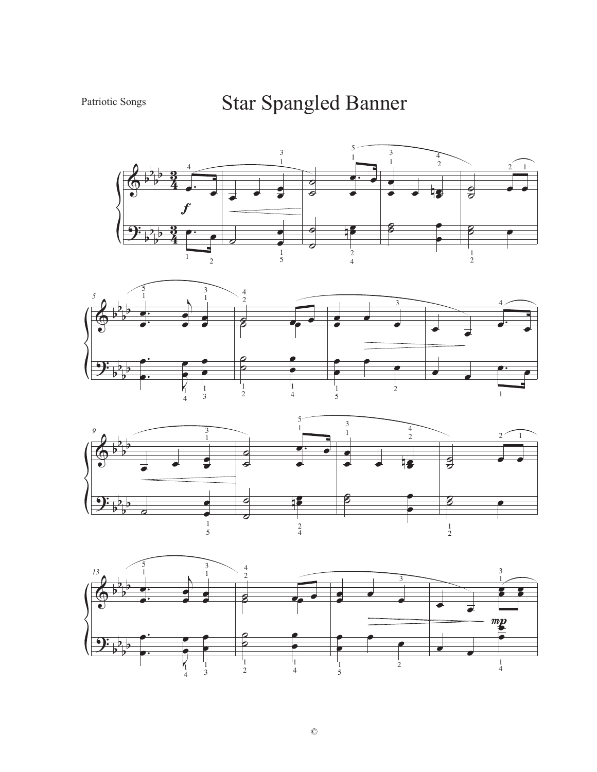Patriotic Songs

Star Spangled Banner







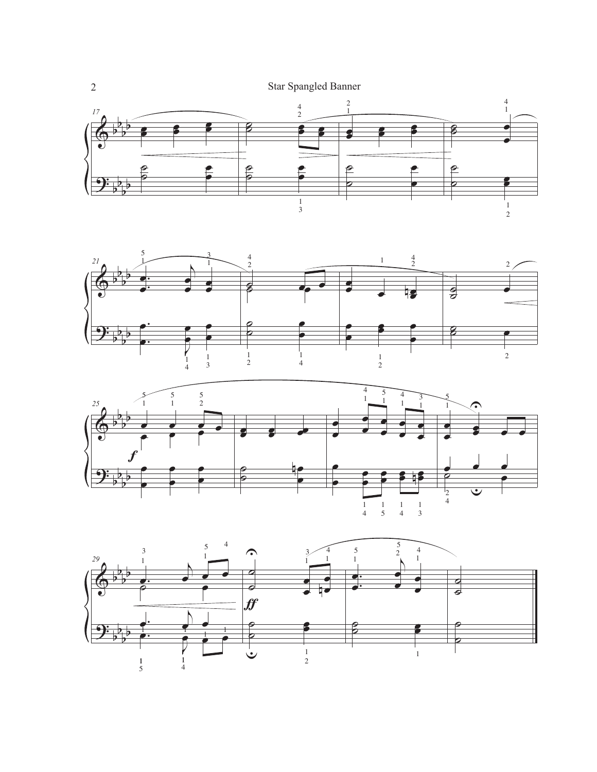2 Star Spangled Banner







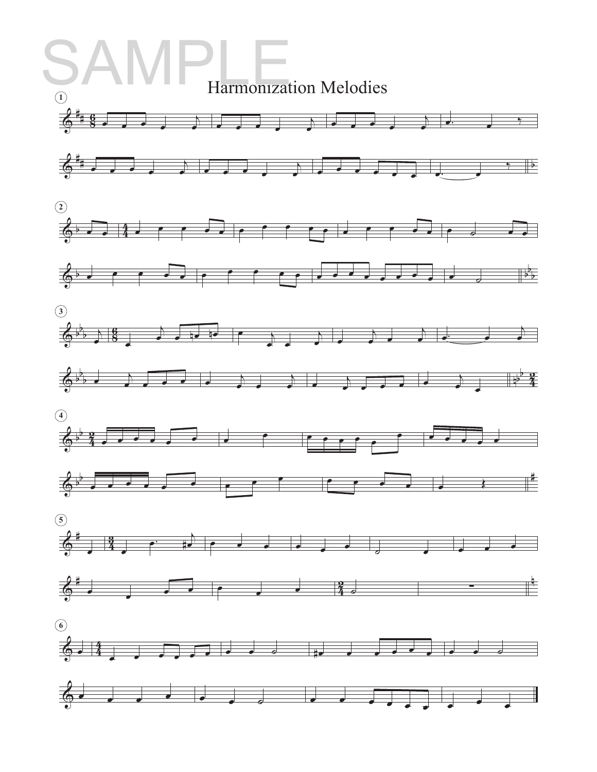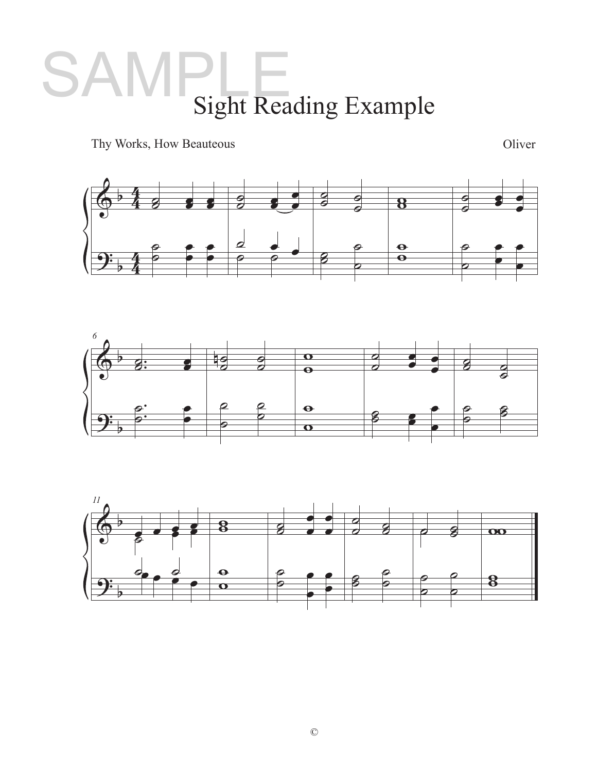## Sight Reading Example SAMPLE

#### Thy Works, How Beauteous

Oliver